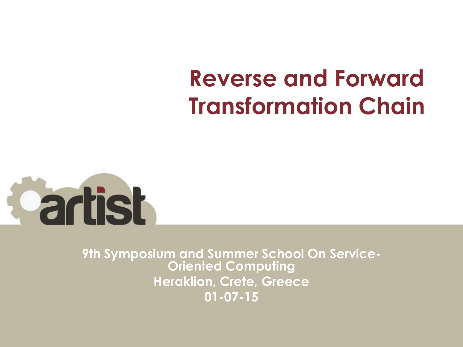#### **Reverse and Forward Transformation Chain**



**9th Symposium and Summer School On Service-Oriented Computing Heraklion, Crete, Greece 01-07-15**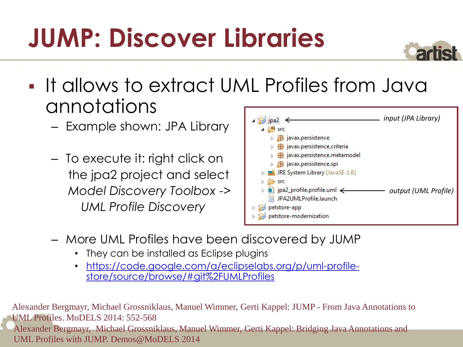## **JUMP: Discover Libraries**



- **It allows to extract UML Profiles from Java** annotations
	- Example shown: JPA Library
	- To execute it: right click on the jpa2 project and select *Model Discovery Toolbox -> UML Profile Discovery*



- More UML Profiles have been discovered by JUMP
	- They can be installed as Eclipse plugins
	- [https://code.google.com/a/eclipselabs.org/p/uml-profile](https://code.google.com/a/eclipselabs.org/p/uml-profile-store/source/browse/)[store/source/browse/#git%2FUMLProfiles](https://code.google.com/a/eclipselabs.org/p/uml-profile-store/source/browse/)

Alexander Bergmayr, Michael Grossniklaus, Manuel Wimmer, Gerti Kappel: JUMP - From Java Annotations to UML Profiles. MoDELS 2014: 552-568 Alexander Bergmayr, Michael Grossniklaus, Manuel Wimmer, Gerti Kappel: Bridging Java Annotations and UML Profiles with JUMP. Demos@MoDELS 2014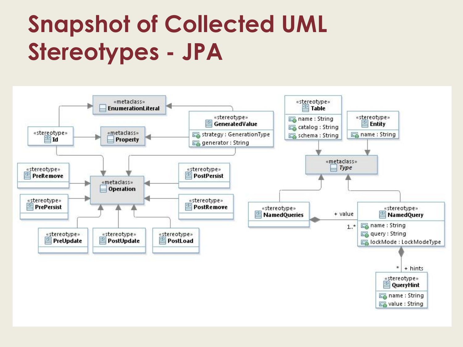### **Snapshot of Collected UML Stereotypes - JPA**

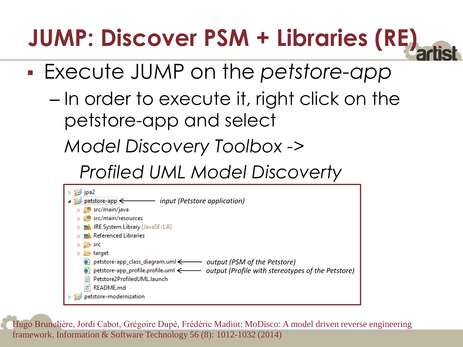### **JUMP: Discover PSM + Libraries (RE)**

- Execute JUMP on the *petstore-app*
	- In order to execute it, right click on the petstore-app and select

*Model Discovery Toolbox ->* 

 *Profiled UML Model Discoverty*



Hugo Brunelière, Jordi Cabot, Grégoire Dupé, Frédéric Madiot: MoDisco: A model driven reverse engineering framework. Information & Software Technology 56 (8): 1012-1032 (2014)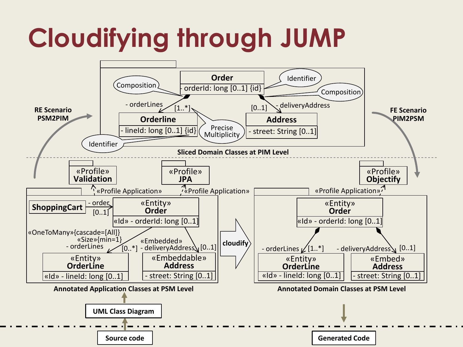## **Cloudifying through JUMP**

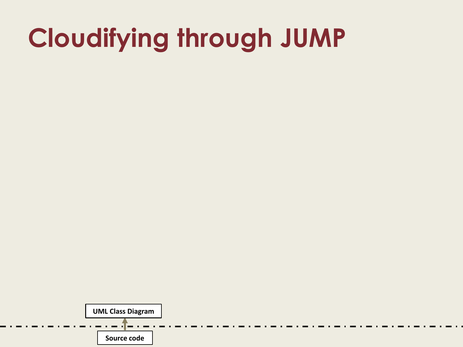### **Cloudifying through JUMP**

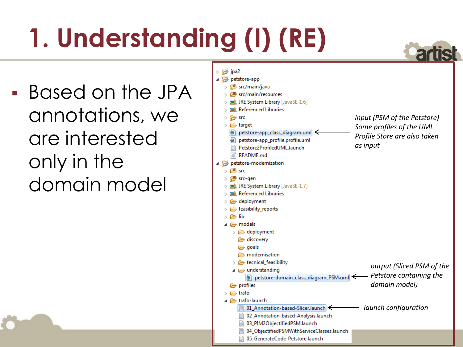# **1. Understanding (I) (RE)**

 Based on the JPA annotations, we are interested only in the domain model

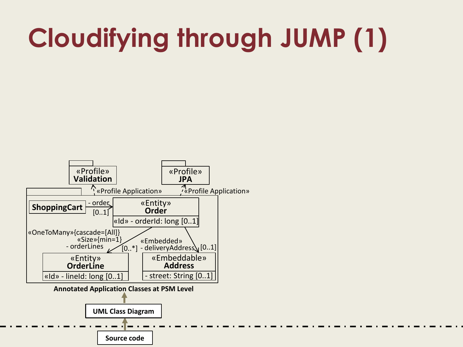## **Cloudifying through JUMP (1)**

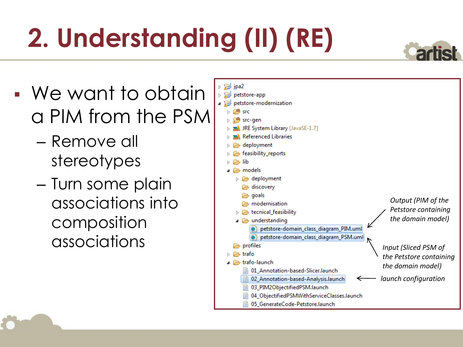# **2. Understanding (II) (RE)**

- We want to obtain a PIM from the PSM
	- Remove all stereotypes
	- Turn some plain associations into composition

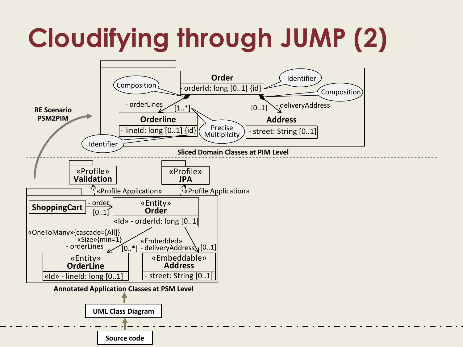# **Cloudifying through JUMP (2)**

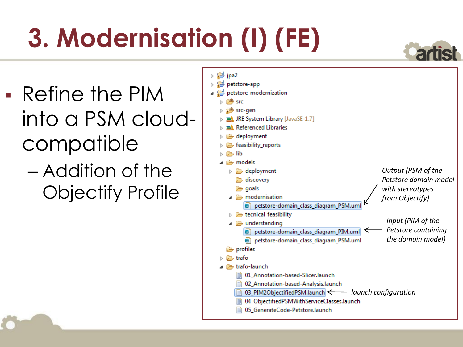# **3. Modernisation (I) (FE)**

- Refine the PIM into a PSM cloudcompatible
	- Addition of the Objectify Profile

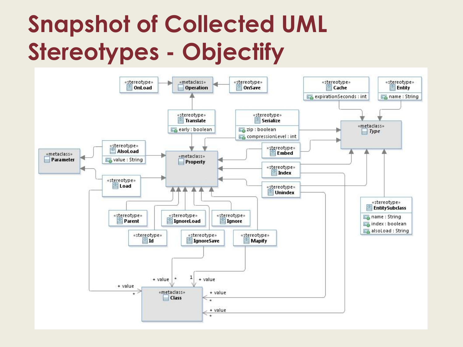#### **Snapshot of Collected UML Stereotypes - Objectify**

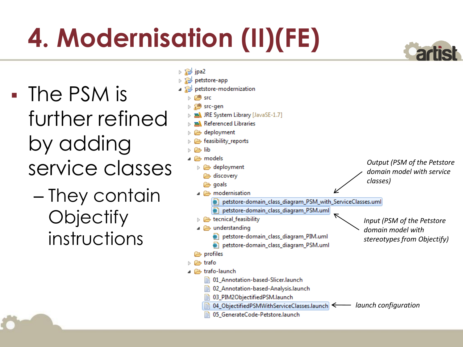# **4. Modernisation (II)(FE)**

 The PSM is further refined by adding service classes

> – They contain **Objectify** instructions

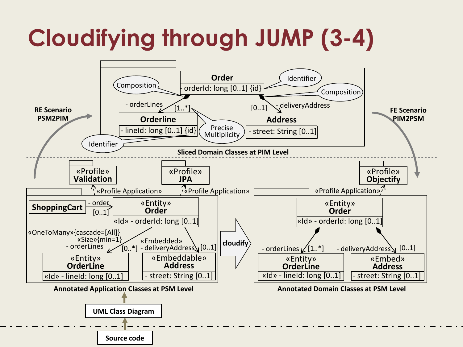### **Cloudifying through JUMP (3-4)**

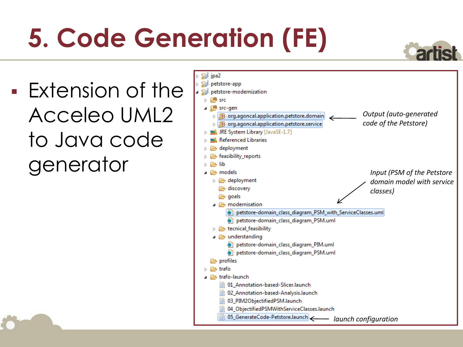# **5. Code Generation (FE)**

 Extension of the Acceleo UML2 to Java code generator